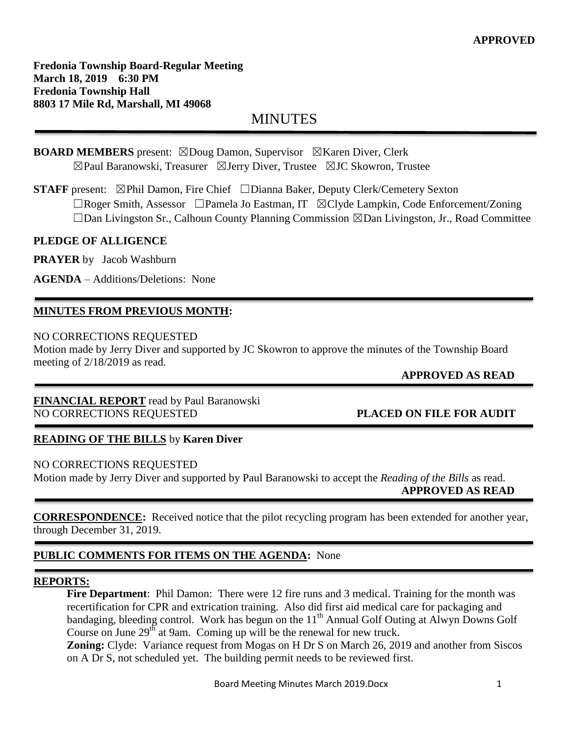# MINUTES

#### **BOARD MEMBERS** present: ⊠Doug Damon, Supervisor ⊠Karen Diver, Clerk ☒Paul Baranowski, Treasurer ☒Jerry Diver, Trustee ☒JC Skowron, Trustee

**STAFF** present: ⊠Phil Damon, Fire Chief □Dianna Baker, Deputy Clerk/Cemetery Sexton ☐Roger Smith, Assessor ☐Pamela Jo Eastman, IT ☒Clyde Lampkin, Code Enforcement/Zoning ☐Dan Livingston Sr., Calhoun County Planning Commission ☒Dan Livingston, Jr., Road Committee

## **PLEDGE OF ALLIGENCE**

**PRAYER** by Jacob Washburn

**AGENDA** – Additions/Deletions: None

# **MINUTES FROM PREVIOUS MONTH:**

#### NO CORRECTIONS REQUESTED

Motion made by Jerry Diver and supported by JC Skowron to approve the minutes of the Township Board meeting of 2/18/2019 as read.

# **APPROVED AS READ**

**FINANCIAL REPORT** read by Paul Baranowski NO CORRECTIONS REQUESTED **PLACED ON FILE FOR AUDIT**

### **READING OF THE BILLS** by **Karen Diver**

### NO CORRECTIONS REQUESTED

Motion made by Jerry Diver and supported by Paul Baranowski to accept the *Reading of the Bills* as read.  **APPROVED AS READ**

**CORRESPONDENCE:** Received notice that the pilot recycling program has been extended for another year, through December 31, 2019.

# **PUBLIC COMMENTS FOR ITEMS ON THE AGENDA:** None

### **REPORTS:**

**Fire Department**: Phil Damon: There were 12 fire runs and 3 medical. Training for the month was recertification for CPR and extrication training. Also did first aid medical care for packaging and bandaging, bleeding control. Work has begun on the  $11<sup>th</sup>$  Annual Golf Outing at Alwyn Downs Golf Course on June  $29<sup>th</sup>$  at 9am. Coming up will be the renewal for new truck.

**Zoning:** Clyde: Variance request from Mogas on H Dr S on March 26, 2019 and another from Siscos on A Dr S, not scheduled yet. The building permit needs to be reviewed first.